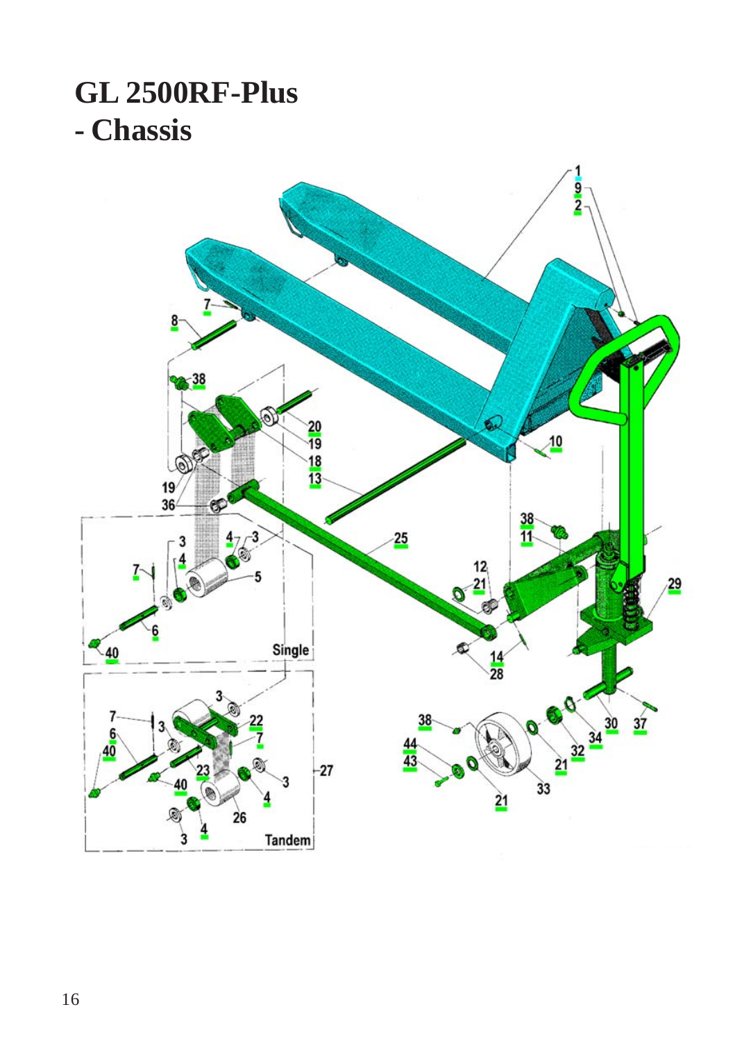## **GL 2500RF-Plus - Chassis**

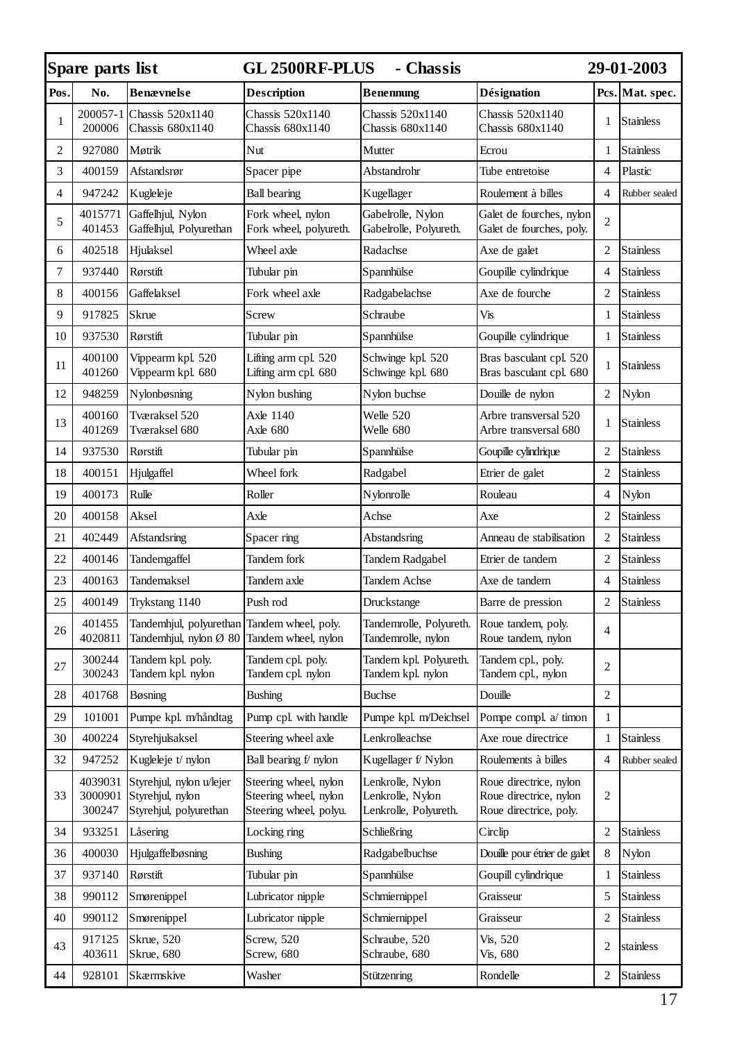|                | Spare parts list<br>- Chassis<br><b>GL 2500RF-PLUS</b> |                                                                                           |                                                                          |                                                               |                                                                            |                | 29-01-2003       |  |
|----------------|--------------------------------------------------------|-------------------------------------------------------------------------------------------|--------------------------------------------------------------------------|---------------------------------------------------------------|----------------------------------------------------------------------------|----------------|------------------|--|
| Pos.           | No.                                                    | <b>Benævnelse</b>                                                                         | <b>Description</b>                                                       | <b>Benennung</b>                                              | Désignation                                                                |                | Pcs. Mat. spec.  |  |
| $\mathbf{1}$   | 200057-1<br>200006                                     | Chassis 520x1140<br>Chassis 680x1140                                                      | Chassis 520x1140<br>Chassis 680x1140                                     | Chassis 520x1140<br>Chassis 680x1140                          | Chassis 520x1140<br>Chassis 680x1140                                       | 1              | <b>Stainless</b> |  |
| 2              | 927080                                                 | Møtrik                                                                                    | Nut                                                                      | Mutter                                                        | Ecrou                                                                      | $\mathbf{1}$   | Stainless        |  |
| 3              | 400159                                                 | Afstandsrør                                                                               | Spacer pipe                                                              | Abstandrohr                                                   | Tube entretoise                                                            | $\overline{4}$ | Plastic          |  |
| $\overline{4}$ | 947242                                                 | Kugleleje                                                                                 | <b>Ball</b> bearing                                                      | Kugellager                                                    | Roulement à billes                                                         | $\overline{4}$ | Rubber sealed    |  |
| 5              | 4015771<br>401453                                      | Gaffelhjul, Nylon<br>Gaffelhjul, Polyurethan                                              | Fork wheel, nylon<br>Fork wheel, polyureth.                              | Gabelrolle, Nylon<br>Gabelrolle, Polyureth.                   | Galet de fourches, nylon<br>Galet de fourches, poly.                       | $\overline{c}$ |                  |  |
| 6              | 402518                                                 | Hjulaksel                                                                                 | Wheel axle                                                               | Radachse                                                      | Axe de galet                                                               | 2              | <b>Stainless</b> |  |
| 7              | 937440                                                 | Rørstift                                                                                  | Tubular pin                                                              | Spannhülse                                                    | Goupille cylindrique                                                       | $\overline{4}$ | <b>Stainless</b> |  |
| 8              | 400156                                                 | Gaffelaksel                                                                               | Fork wheel axle                                                          | Radgabelachse                                                 | Axe de fourche                                                             | 2              | Stainless        |  |
| 9              | 917825                                                 | Skrue                                                                                     | Screw                                                                    | Schraube                                                      | Vis                                                                        | 1              | <b>Stainless</b> |  |
| 10             | 937530                                                 | Rørstift                                                                                  | Tubular pin                                                              | Spannhülse                                                    | Goupille cylindrique                                                       | $\mathbf{1}$   | Stainless        |  |
| 11             | 400100<br>401260                                       | Vippearm kpl. 520<br>Vippearm kpl. 680                                                    | Lifting arm cpl. 520<br>Lifting arm cpl. 680                             | Schwinge kpl. 520<br>Schwinge kpl. 680                        | Bras basculant cpl. 520<br>Bras basculant cpl. 680                         | 1              | <b>Stainless</b> |  |
| 12             | 948259                                                 | Nylonbøsning                                                                              | Nylon bushing                                                            | Nylon buchse                                                  | Douille de nylon                                                           | $\overline{c}$ | Nylon            |  |
| 13             | 400160<br>401269                                       | Tværaksel 520<br>Tværaksel 680                                                            | Axle 1140<br>Axle 680                                                    | Welle 520<br>Welle 680                                        | Arbre transversal 520<br>Arbre transversal 680                             | $\mathbf{1}$   | <b>Stainless</b> |  |
| 14             | 937530                                                 | Rørstift                                                                                  | Tubular pin                                                              | Spannhülse                                                    | Goupille cylindrique                                                       | $\overline{c}$ | <b>Stainless</b> |  |
| 18             | 400151                                                 | Hjulgaffel                                                                                | Wheel fork                                                               | Radgabel                                                      | Etrier de galet                                                            | $\mathbf{2}$   | <b>Stainless</b> |  |
| 19             | 400173                                                 | Rulle                                                                                     | Roller                                                                   | Nylonrolle                                                    | Rouleau                                                                    | 4              | Nylon            |  |
| 20             | 400158                                                 | Aksel                                                                                     | Axle                                                                     | Achse                                                         | Axe                                                                        | $\overline{2}$ | <b>Stainless</b> |  |
| 21             | 402449                                                 | Afstandsring                                                                              | Spacer ring                                                              | Abstandsring                                                  | Anneau de stabilisation                                                    | 2              | <b>Stainless</b> |  |
| 22             | 400146                                                 | Tandemgaffel                                                                              | Tandem fork                                                              | Tandem Radgabel                                               | Etrier de tandem                                                           | 2              | <b>Stainless</b> |  |
| 23             | 400163                                                 | Tandemaksel                                                                               | Tandem axle                                                              | Tandem Achse                                                  | Axe de tandem                                                              | $\overline{4}$ | Stainless        |  |
| 25             | 400149                                                 | Trykstang 1140                                                                            | Push rod                                                                 | Druckstange                                                   | Barre de pression                                                          | 2              | <b>Stainless</b> |  |
| 26             | 401455<br>4020811                                      | Tandemhjul, polyurethan Tandem wheel, poly.<br>Tandemhjul, nylon Ø 80 Tandem wheel, nylon |                                                                          | Tandemrolle, Polyureth.<br>Tandemrolle, nylon                 | Roue tandem, poly.<br>Roue tandem, nylon                                   | $\overline{4}$ |                  |  |
| 27             | 300244<br>300243                                       | Tandem kpl. poly.<br>Tandem kpl. nylon                                                    | Tandem cpl. poly.<br>Tandem cpl. nylon                                   | Tandem kpl. Polyureth.<br>Tandem kpl. nylon                   | Tandem cpl., poly.<br>Tandem cpl., nylon                                   | $\overline{c}$ |                  |  |
| 28             | 401768                                                 | Bøsning                                                                                   | Bushing                                                                  | <b>Buchse</b>                                                 | Douille                                                                    | 2              |                  |  |
| 29             | 101001                                                 | Pumpe kpl. m/håndtag                                                                      | Pump cpl. with handle                                                    | Pumpe kpl. m/Deichsel                                         | Pompe compl. a/ timon                                                      | $\mathbf{1}$   |                  |  |
| 30             | 400224                                                 | Styrehjulsaksel                                                                           | Steering wheel axle                                                      | Lenkrolleachse                                                | Axe roue directrice                                                        | $\mathbf{1}$   | Stainless        |  |
| 32             | 947252                                                 | Kugleleje t/ nylon                                                                        | Ball bearing f/ nylon                                                    | Kugellager f/Nylon                                            | Roulements à billes                                                        | $\overline{4}$ | Rubber sealed    |  |
| 33             | 4039031<br>3000901<br>300247                           | Styrehjul, nylon u/lejer<br>Styrehjul, nylon<br>Styrehjul, polyurethan                    | Steering wheel, nylon<br>Steering wheel, nylon<br>Steering wheel, polyu. | Lenkrolle, Nylon<br>Lenkrolle, Nylon<br>Lenkrolle, Polyureth. | Roue directrice, nylon<br>Roue directrice, nylon<br>Roue directrice, poly. | $\overline{c}$ |                  |  |
| 34             | 933251                                                 | Låsering                                                                                  | Locking ring                                                             | Schließring                                                   | Circlip                                                                    | 2              | <b>Stainless</b> |  |
| 36             | 400030                                                 | Hjulgaffelbøsning                                                                         | <b>Bushing</b>                                                           | Radgabelbuchse                                                | Douille pour étrier de galet                                               | 8              | Nylon            |  |
| 37             | 937140                                                 | Rørstift                                                                                  | Tubular pin                                                              | Spannhülse                                                    | Goupill cylindrique                                                        | 1              | Stainless        |  |
| 38             | 990112                                                 | Smørenippel                                                                               | Lubricator nipple                                                        | Schmiernippel                                                 | Graisseur                                                                  | 5              | Stainless        |  |
| 40             | 990112                                                 | Smørenippel                                                                               | Lubricator nipple                                                        | Schmiernippel                                                 | Graisseur                                                                  | 2              | Stainless        |  |
| 43             | 917125<br>403611                                       | Skrue, 520<br>Skrue, 680                                                                  | Screw, 520<br>Screw, 680                                                 | Schraube, 520<br>Schraube, 680                                | Vis, 520<br>Vis, 680                                                       | 2              | stainless        |  |
| 44             | 928101                                                 | Skærmskive                                                                                | Washer                                                                   | Stützenring                                                   | Rondelle                                                                   | 2              | Stainless        |  |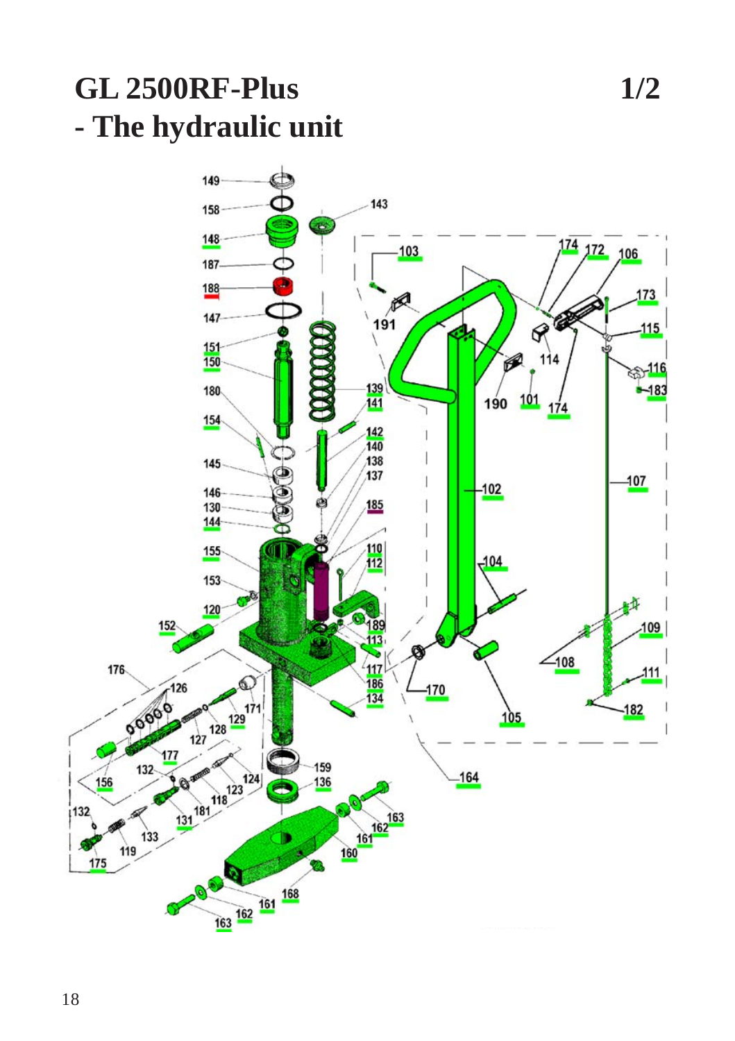## **GL 2500RF-Plus 1/2 - The hydraulic unit**

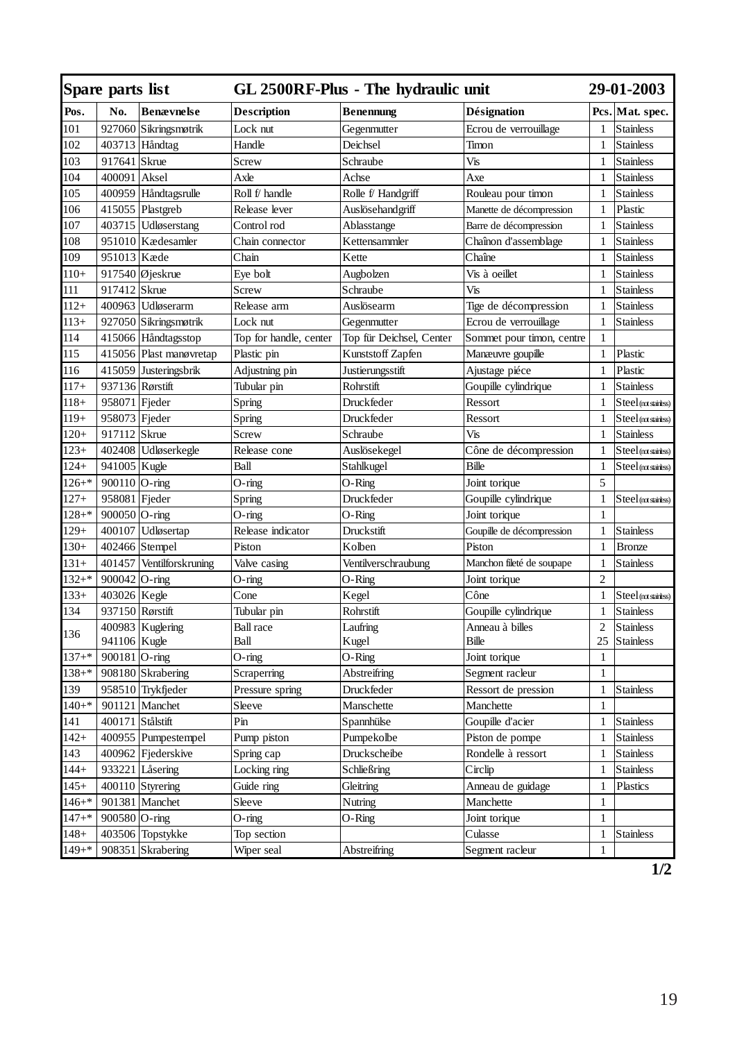| Spare parts list |                  |                         |                        | GL 2500RF-Plus - The hydraulic unit |                           |                | <b>29-01-2003</b>     |  |
|------------------|------------------|-------------------------|------------------------|-------------------------------------|---------------------------|----------------|-----------------------|--|
| Pos.             | No.              | <b>Benævnelse</b>       | <b>Description</b>     | <b>Benennung</b>                    | Désignation               |                | Pcs. Mat. spec.       |  |
| 101              | 927060           | Sikringsmøtrik          | Lock nut               | Gegenmutter                         | Ecrou de verrouillage     | 1              | <b>Stainless</b>      |  |
| 102              |                  | 403713 Håndtag          | Handle                 | Deichsel                            | Timon                     | 1              | <b>Stainless</b>      |  |
| 103              | 917641 Skrue     |                         | Screw                  | Schraube                            | Vis                       | 1              | <b>Stainless</b>      |  |
| 104              | 400091           | Aksel                   | Axle                   | Achse                               | Axe                       | $\mathbf{1}$   | <b>Stainless</b>      |  |
| 105              |                  | 400959 Håndtagsrulle    | Roll f/ handle         | Rolle f/ Handgriff                  | Rouleau pour timon        | $\mathbf{1}$   | <b>Stainless</b>      |  |
| 106              |                  | 415055 Plastgreb        | Release lever          | Auslösehandgriff                    | Manette de décompression  | $\mathbf{1}$   | Plastic               |  |
| 107              | 403715           | Udløserstang            | Control rod            | Ablasstange                         | Barre de décompression    | $\mathbf{1}$   | <b>Stainless</b>      |  |
| 108              |                  | 951010 Kædesamler       | Chain connector        | Kettensammler                       | Chaînon d'assemblage      | $\mathbf{1}$   | <b>Stainless</b>      |  |
| 109              | 951013           | Kæde                    | Chain                  | Kette                               | Chaîne                    | $\mathbf{1}$   | <b>Stainless</b>      |  |
| $110+$           | 917540           | Øjeskrue                | Eye bolt               | Augbolzen                           | Vis à oeillet             | $\mathbf{1}$   | <b>Stainless</b>      |  |
| 111              | 917412           | Skrue                   | Screw                  | Schraube                            | Vis                       | $\mathbf{1}$   | <b>Stainless</b>      |  |
| $112+$           |                  | 400963 Udløserarm       | Release arm            | Auslösearm                          | Tige de décompression     | $\mathbf{1}$   | <b>Stainless</b>      |  |
| $\frac{113}{+}$  |                  | 927050 Sikringsmøtrik   | Lock nut               | Gegenmutter                         | Ecrou de verrouillage     | $\mathbf{1}$   | Stainless             |  |
| 114              |                  | 415066 Håndtagsstop     | Top for handle, center | Top für Deichsel, Center            | Sommet pour timon, centre | $\mathbf{1}$   |                       |  |
| 115              |                  | 415056 Plast manøvretap | Plastic pin            | Kunststoff Zapfen                   | Manæuvre goupille         | $\mathbf{1}$   | Plastic               |  |
| 116              |                  | 415059 Justeringsbrik   | Adjustning pin         | Justierungsstift                    | Ajustage piéce            | $\mathbf{1}$   | Plastic               |  |
| $117+$           | 937136 Rørstift  |                         | Tubular pin            | Rohrstift                           | Goupille cylindrique      | $\mathbf{1}$   | <b>Stainless</b>      |  |
| $118+$           | 958071 Fjeder    |                         | Spring                 | Druckfeder                          | Ressort                   | 1              | Steel (not stainless) |  |
| $119+$           | 958073 Fjeder    |                         | Spring                 | Druckfeder                          | Ressort                   | $\mathbf{1}$   | Steel (not stainless) |  |
| $120+$           | 917112 Skrue     |                         | Screw                  | Schraube                            | Vis                       | $\mathbf{1}$   | <b>Stainless</b>      |  |
| $123+$           |                  | 402408 Udløserkegle     | Release cone           | Auslösekegel                        | Cône de décompression     | $\mathbf{1}$   | Steel (not stainless) |  |
| $124+$           | 941005 Kugle     |                         | Ball                   | Stahlkugel                          | Bille                     | 1              | Steel (not stainless) |  |
| $126 +$ *        | 900110 O-ring    |                         | $O$ -ring              | O-Ring                              | Joint torique             | 5              |                       |  |
| $127 +$          | 958081 Fjeder    |                         | Spring                 | Druckfeder                          | Goupille cylindrique      | $\mathbf{1}$   | Steel (not stainless) |  |
| $128 +$ *        | 900050           | $O$ -ring               | O-ring                 | O-Ring                              | Joint torique             | $\mathbf{1}$   |                       |  |
| $129+$           | 400107           | Udløsertap              | Release indicator      | Druckstift                          | Goupille de décompression | 1              | Stainless             |  |
| $130+$           |                  | 402466 Stempel          | Piston                 | Kolben                              | Piston                    | $\mathbf{1}$   | <b>Bronze</b>         |  |
| $131 +$          | 401457           | Ventilforskruning       | Valve casing           | Ventilverschraubung                 | Manchon fileté de soupape | $\mathbf{1}$   | <b>Stainless</b>      |  |
| $132 +$ *        | 900042 O-ring    |                         | O-ring                 | O-Ring                              | Joint torique             | $\overline{c}$ |                       |  |
| $133+$           | 403026 Kegle     |                         | Cone                   | Kegel                               | Cône                      | $\mathbf{1}$   | Steel (not stainless) |  |
| 134              | 937150 Rørstift  |                         | Tubular pin            | Rohrstift                           | Goupille cylindrique      | 1              | <b>Stainless</b>      |  |
| 136              |                  | 400983 Kuglering        | <b>Ball</b> race       | Laufring                            | Anneau à billes           | $\overline{c}$ | <b>Stainless</b>      |  |
|                  | 941106 Kugle     |                         | Ball                   | Kugel                               | Bille                     | 25             | Stainless             |  |
| $137 +$ *        | 900181 O-ring    |                         | O-ring                 | O-Ring                              | Joint torique             | $\mathbf{1}$   |                       |  |
| $138 + *$        |                  | 908180 Skrabering       | Scraperring            | Abstreifring                        | Segment racleur           | $\mathbf{1}$   |                       |  |
| 139              |                  | 958510 Trykfjeder       | Pressure spring        | Druckfeder                          | Ressort de pression       | $\mathbf{1}$   | <b>Stainless</b>      |  |
| $140+*$          |                  | 901121 Manchet          | Sleeve                 | Manschette                          | Manchette                 | $\mathbf{1}$   |                       |  |
| 141              | 400171 Stålstift |                         | Pin                    | Spannhülse                          | Goupille d'acier          | $\mathbf{1}$   | <b>Stainless</b>      |  |
| $142+$           |                  | 400955 Pumpestempel     | Pump piston            | Pumpekolbe                          | Piston de pompe           | $\mathbf{1}$   | <b>Stainless</b>      |  |
| 143              |                  | 400962 Fjederskive      | Spring cap             | Druckscheibe                        | Rondelle à ressort        | $\mathbf{1}$   | <b>Stainless</b>      |  |
| $144+$           |                  | 933221 Låsering         | Locking ring           | Schließring                         | Circlip                   | $\mathbf{1}$   | <b>Stainless</b>      |  |
| $145+$           |                  | 400110 Styrering        | Guide ring             | Gleitring                           | Anneau de guidage         | $\mathbf{1}$   | Plastics              |  |
| $146 +$ *        |                  | 901381 Manchet          | Sleeve                 | Nutring                             | Manchette                 | 1              |                       |  |
| $147 +$ *        | 900580 O-ring    |                         | $O$ -ring              | O-Ring                              | Joint torique             | $\mathbf{1}$   |                       |  |
| $148+$           |                  | 403506 Topstykke        | Top section            |                                     | Culasse                   | 1              | <b>Stainless</b>      |  |
| $149+$           |                  | 908351 Skrabering       | Wiper seal             | Abstreifring                        | Segment racleur           | $\mathbf{1}$   |                       |  |

**1/2**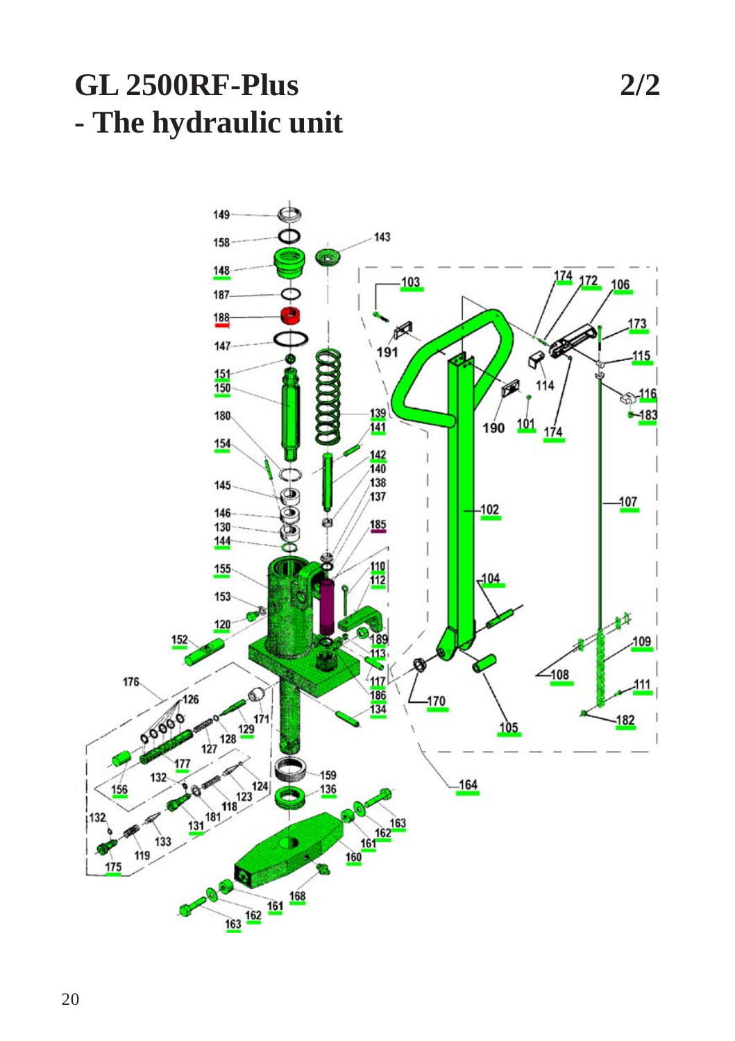## **GL 2500RF-Plus 2/2 - The hydraulic unit**